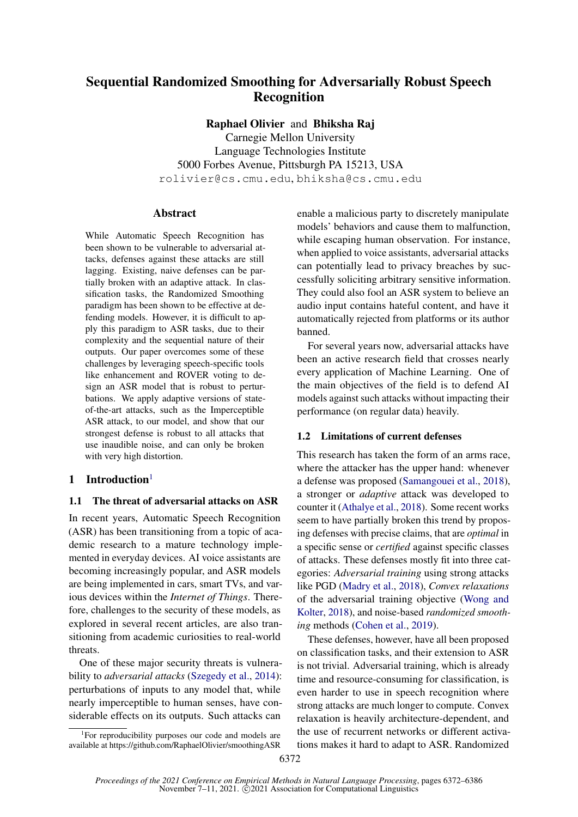# Sequential Randomized Smoothing for Adversarially Robust Speech Recognition

Raphael Olivier and Bhiksha Raj

Carnegie Mellon University Language Technologies Institute 5000 Forbes Avenue, Pittsburgh PA 15213, USA rolivier@cs.cmu.edu, bhiksha@cs.cmu.edu

#### Abstract

While Automatic Speech Recognition has been shown to be vulnerable to adversarial attacks, defenses against these attacks are still lagging. Existing, naive defenses can be partially broken with an adaptive attack. In classification tasks, the Randomized Smoothing paradigm has been shown to be effective at defending models. However, it is difficult to apply this paradigm to ASR tasks, due to their complexity and the sequential nature of their outputs. Our paper overcomes some of these challenges by leveraging speech-specific tools like enhancement and ROVER voting to design an ASR model that is robust to perturbations. We apply adaptive versions of stateof-the-art attacks, such as the Imperceptible ASR attack, to our model, and show that our strongest defense is robust to all attacks that use inaudible noise, and can only be broken with very high distortion.

# [1](#page-0-0) Introduction $<sup>1</sup>$ </sup>

### 1.1 The threat of adversarial attacks on ASR

In recent years, Automatic Speech Recognition (ASR) has been transitioning from a topic of academic research to a mature technology implemented in everyday devices. AI voice assistants are becoming increasingly popular, and ASR models are being implemented in cars, smart TVs, and various devices within the *Internet of Things*. Therefore, challenges to the security of these models, as explored in several recent articles, are also transitioning from academic curiosities to real-world threats.

One of these major security threats is vulnerability to *adversarial attacks* [\(Szegedy et al.,](#page-10-0) [2014\)](#page-10-0): perturbations of inputs to any model that, while nearly imperceptible to human senses, have considerable effects on its outputs. Such attacks can

enable a malicious party to discretely manipulate models' behaviors and cause them to malfunction, while escaping human observation. For instance, when applied to voice assistants, adversarial attacks can potentially lead to privacy breaches by successfully soliciting arbitrary sensitive information. They could also fool an ASR system to believe an audio input contains hateful content, and have it automatically rejected from platforms or its author banned.

For several years now, adversarial attacks have been an active research field that crosses nearly every application of Machine Learning. One of the main objectives of the field is to defend AI models against such attacks without impacting their performance (on regular data) heavily.

### 1.2 Limitations of current defenses

This research has taken the form of an arms race, where the attacker has the upper hand: whenever a defense was proposed [\(Samangouei et al.,](#page-10-1) [2018\)](#page-10-1), a stronger or *adaptive* attack was developed to counter it [\(Athalye et al.,](#page-9-0) [2018\)](#page-9-0). Some recent works seem to have partially broken this trend by proposing defenses with precise claims, that are *optimal* in a specific sense or *certified* against specific classes of attacks. These defenses mostly fit into three categories: *Adversarial training* using strong attacks like PGD [\(Madry et al.,](#page-10-2) [2018\)](#page-10-2), *Convex relaxations* of the adversarial training objective [\(Wong and](#page-10-3) [Kolter,](#page-10-3) [2018\)](#page-10-3), and noise-based *randomized smoothing* methods [\(Cohen et al.,](#page-9-1) [2019\)](#page-9-1).

These defenses, however, have all been proposed on classification tasks, and their extension to ASR is not trivial. Adversarial training, which is already time and resource-consuming for classification, is even harder to use in speech recognition where strong attacks are much longer to compute. Convex relaxation is heavily architecture-dependent, and the use of recurrent networks or different activations makes it hard to adapt to ASR. Randomized

<span id="page-0-0"></span><sup>&</sup>lt;sup>1</sup>For reproducibility purposes our code and models are available at https://github.com/RaphaelOlivier/smoothingASR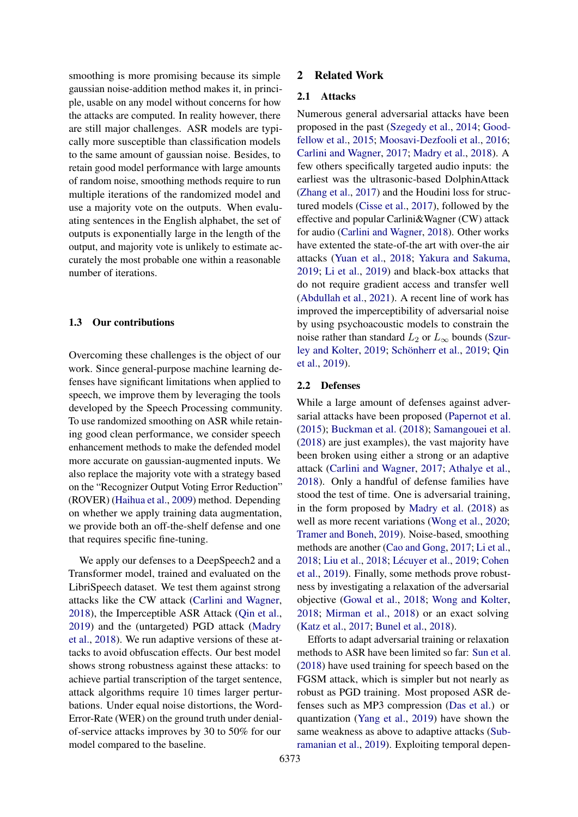smoothing is more promising because its simple gaussian noise-addition method makes it, in principle, usable on any model without concerns for how the attacks are computed. In reality however, there are still major challenges. ASR models are typically more susceptible than classification models to the same amount of gaussian noise. Besides, to retain good model performance with large amounts of random noise, smoothing methods require to run multiple iterations of the randomized model and use a majority vote on the outputs. When evaluating sentences in the English alphabet, the set of outputs is exponentially large in the length of the output, and majority vote is unlikely to estimate accurately the most probable one within a reasonable number of iterations.

### 1.3 Our contributions

Overcoming these challenges is the object of our work. Since general-purpose machine learning defenses have significant limitations when applied to speech, we improve them by leveraging the tools developed by the Speech Processing community. To use randomized smoothing on ASR while retaining good clean performance, we consider speech enhancement methods to make the defended model more accurate on gaussian-augmented inputs. We also replace the majority vote with a strategy based on the "Recognizer Output Voting Error Reduction" (ROVER) [\(Haihua et al.,](#page-9-2) [2009\)](#page-9-2) method. Depending on whether we apply training data augmentation, we provide both an off-the-shelf defense and one that requires specific fine-tuning.

We apply our defenses to a DeepSpeech2 and a Transformer model, trained and evaluated on the LibriSpeech dataset. We test them against strong attacks like the CW attack [\(Carlini and Wagner,](#page-9-3) [2018\)](#page-9-3), the Imperceptible ASR Attack [\(Qin et al.,](#page-10-4) [2019\)](#page-10-4) and the (untargeted) PGD attack [\(Madry](#page-10-2) [et al.,](#page-10-2) [2018\)](#page-10-2). We run adaptive versions of these attacks to avoid obfuscation effects. Our best model shows strong robustness against these attacks: to achieve partial transcription of the target sentence, attack algorithms require 10 times larger perturbations. Under equal noise distortions, the Word-Error-Rate (WER) on the ground truth under denialof-service attacks improves by 30 to 50% for our model compared to the baseline.

### 2 Related Work

#### 2.1 Attacks

Numerous general adversarial attacks have been proposed in the past [\(Szegedy et al.,](#page-10-0) [2014;](#page-10-0) [Good](#page-9-4)[fellow et al.,](#page-9-4) [2015;](#page-9-4) [Moosavi-Dezfooli et al.,](#page-10-5) [2016;](#page-10-5) [Carlini and Wagner,](#page-9-5) [2017;](#page-9-5) [Madry et al.,](#page-10-2) [2018\)](#page-10-2). A few others specifically targeted audio inputs: the earliest was the ultrasonic-based DolphinAttack [\(Zhang et al.,](#page-11-0) [2017\)](#page-11-0) and the Houdini loss for structured models [\(Cisse et al.,](#page-9-6) [2017\)](#page-9-6), followed by the effective and popular Carlini&Wagner (CW) attack for audio [\(Carlini and Wagner,](#page-9-3) [2018\)](#page-9-3). Other works have extented the state-of-the art with over-the air attacks [\(Yuan et al.,](#page-11-1) [2018;](#page-11-1) [Yakura and Sakuma,](#page-11-2) [2019;](#page-11-2) [Li et al.,](#page-10-6) [2019\)](#page-10-6) and black-box attacks that do not require gradient access and transfer well [\(Abdullah et al.,](#page-9-7) [2021\)](#page-9-7). A recent line of work has improved the imperceptibility of adversarial noise by using psychoacoustic models to constrain the noise rather than standard  $L_2$  or  $L_{\infty}$  bounds [\(Szur](#page-10-7)[ley and Kolter,](#page-10-7) [2019;](#page-10-7) [Schönherr et al.,](#page-10-8) [2019;](#page-10-8) [Qin](#page-10-4) [et al.,](#page-10-4) [2019\)](#page-10-4).

#### 2.2 Defenses

While a large amount of defenses against adversarial attacks have been proposed [\(Papernot et al.](#page-10-9) [\(2015\)](#page-10-9); [Buckman et al.](#page-9-8) [\(2018\)](#page-9-8); [Samangouei et al.](#page-10-1) [\(2018\)](#page-10-1) are just examples), the vast majority have been broken using either a strong or an adaptive attack [\(Carlini and Wagner,](#page-9-9) [2017;](#page-9-9) [Athalye et al.,](#page-9-0) [2018\)](#page-9-0). Only a handful of defense families have stood the test of time. One is adversarial training, in the form proposed by [Madry et al.](#page-10-2) [\(2018\)](#page-10-2) as well as more recent variations [\(Wong et al.,](#page-10-10) [2020;](#page-10-10) [Tramer and Boneh,](#page-10-11) [2019\)](#page-10-11). Noise-based, smoothing methods are another [\(Cao and Gong,](#page-9-10) [2017;](#page-9-10) [Li et al.,](#page-10-12) [2018;](#page-10-12) [Liu et al.,](#page-10-13) [2018;](#page-10-13) [Lécuyer et al.,](#page-10-14) [2019;](#page-10-14) [Cohen](#page-9-1) [et al.,](#page-9-1) [2019\)](#page-9-1). Finally, some methods prove robustness by investigating a relaxation of the adversarial objective [\(Gowal et al.,](#page-9-11) [2018;](#page-9-11) [Wong and Kolter,](#page-10-3) [2018;](#page-10-3) [Mirman et al.,](#page-10-15) [2018\)](#page-10-15) or an exact solving [\(Katz et al.,](#page-9-12) [2017;](#page-9-12) [Bunel et al.,](#page-9-13) [2018\)](#page-9-13).

Efforts to adapt adversarial training or relaxation methods to ASR have been limited so far: [Sun et al.](#page-10-16) [\(2018\)](#page-10-16) have used training for speech based on the FGSM attack, which is simpler but not nearly as robust as PGD training. Most proposed ASR defenses such as MP3 compression [\(Das et al.\)](#page-9-14) or quantization [\(Yang et al.,](#page-11-3) [2019\)](#page-11-3) have shown the same weakness as above to adaptive attacks [\(Sub](#page-10-17)[ramanian et al.,](#page-10-17) [2019\)](#page-10-17). Exploiting temporal depen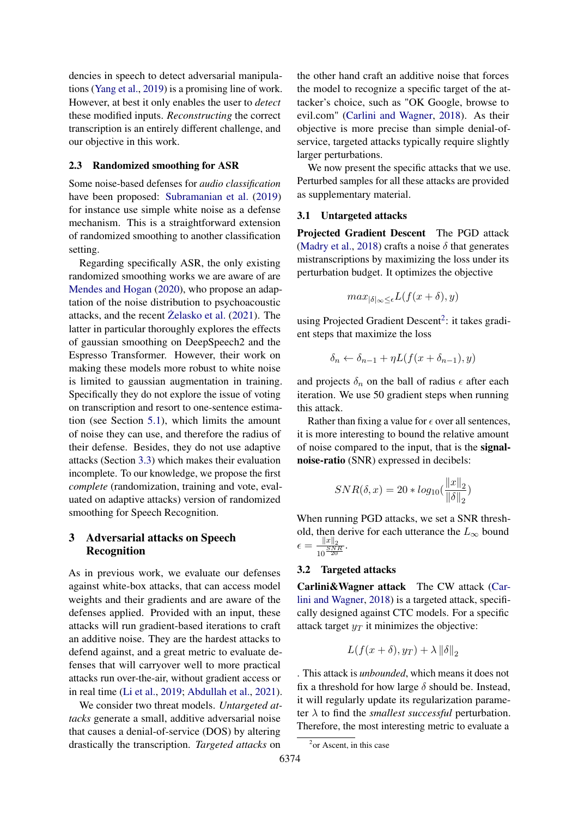dencies in speech to detect adversarial manipulations [\(Yang et al.,](#page-11-3) [2019\)](#page-11-3) is a promising line of work. However, at best it only enables the user to *detect* these modified inputs. *Reconstructing* the correct transcription is an entirely different challenge, and our objective in this work.

### 2.3 Randomized smoothing for ASR

Some noise-based defenses for *audio classification* have been proposed: [Subramanian et al.](#page-10-17) [\(2019\)](#page-10-17) for instance use simple white noise as a defense mechanism. This is a straightforward extension of randomized smoothing to another classification setting.

Regarding specifically ASR, the only existing randomized smoothing works we are aware of are [Mendes and Hogan](#page-10-18) [\(2020\)](#page-10-18), who propose an adaptation of the noise distribution to psychoacoustic attacks, and the recent  $\ddot{Z}$ elasko et al. [\(2021\)](#page-11-4). The latter in particular thoroughly explores the effects of gaussian smoothing on DeepSpeech2 and the Espresso Transformer. However, their work on making these models more robust to white noise is limited to gaussian augmentation in training. Specifically they do not explore the issue of voting on transcription and resort to one-sentence estimation (see Section [5.1\)](#page-4-0), which limits the amount of noise they can use, and therefore the radius of their defense. Besides, they do not use adaptive attacks (Section [3.3\)](#page-3-0) which makes their evaluation incomplete. To our knowledge, we propose the first *complete* (randomization, training and vote, evaluated on adaptive attacks) version of randomized smoothing for Speech Recognition.

# 3 Adversarial attacks on Speech Recognition

As in previous work, we evaluate our defenses against white-box attacks, that can access model weights and their gradients and are aware of the defenses applied. Provided with an input, these attacks will run gradient-based iterations to craft an additive noise. They are the hardest attacks to defend against, and a great metric to evaluate defenses that will carryover well to more practical attacks run over-the-air, without gradient access or in real time [\(Li et al.,](#page-10-6) [2019;](#page-10-6) [Abdullah et al.,](#page-9-7) [2021\)](#page-9-7).

We consider two threat models. *Untargeted attacks* generate a small, additive adversarial noise that causes a denial-of-service (DOS) by altering drastically the transcription. *Targeted attacks* on

the other hand craft an additive noise that forces the model to recognize a specific target of the attacker's choice, such as "OK Google, browse to evil.com" [\(Carlini and Wagner,](#page-9-3) [2018\)](#page-9-3). As their objective is more precise than simple denial-ofservice, targeted attacks typically require slightly larger perturbations.

We now present the specific attacks that we use. Perturbed samples for all these attacks are provided as supplementary material.

#### 3.1 Untargeted attacks

Projected Gradient Descent The PGD attack [\(Madry et al.,](#page-10-2) [2018\)](#page-10-2) crafts a noise  $\delta$  that generates mistranscriptions by maximizing the loss under its perturbation budget. It optimizes the objective

$$
max_{|\delta|_{\infty} \leq \epsilon} L(f(x+\delta), y)
$$

using Projected Gradient Descent<sup>[2](#page-2-0)</sup>: it takes gradient steps that maximize the loss

$$
\delta_n \leftarrow \delta_{n-1} + \eta L(f(x + \delta_{n-1}), y)
$$

and projects  $\delta_n$  on the ball of radius  $\epsilon$  after each iteration. We use 50 gradient steps when running this attack.

Rather than fixing a value for  $\epsilon$  over all sentences, it is more interesting to bound the relative amount of noise compared to the input, that is the signalnoise-ratio (SNR) expressed in decibels:

$$
SNR(\delta, x) = 20 * log_{10}(\frac{||x||_2}{||\delta||_2})
$$

When running PGD attacks, we set a SNR threshold, then derive for each utterance the  $L_{\infty}$  bound  $\epsilon = \frac{\|x\|_2}{SN}$  $\frac{||x||_2}{10 \frac{SNR}{20}}$ .

#### 3.2 Targeted attacks

Carlini&Wagner attack The CW attack [\(Car](#page-9-3)[lini and Wagner,](#page-9-3) [2018\)](#page-9-3) is a targeted attack, specifically designed against CTC models. For a specific attack target  $y_T$  it minimizes the objective:

$$
L(f(x+\delta), y_T) + \lambda \|\delta\|_2
$$

. This attack is *unbounded*, which means it does not fix a threshold for how large  $\delta$  should be. Instead, it will regularly update its regularization parameter  $\lambda$  to find the *smallest successful* perturbation. Therefore, the most interesting metric to evaluate a

<span id="page-2-0"></span><sup>&</sup>lt;sup>2</sup> or Ascent, in this case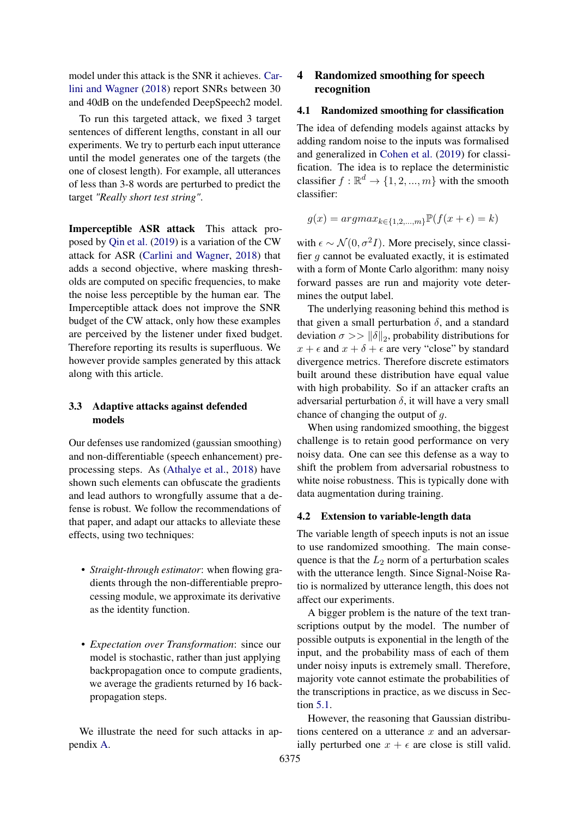model under this attack is the SNR it achieves. [Car](#page-9-3)[lini and Wagner](#page-9-3) [\(2018\)](#page-9-3) report SNRs between 30 and 40dB on the undefended DeepSpeech2 model.

To run this targeted attack, we fixed 3 target sentences of different lengths, constant in all our experiments. We try to perturb each input utterance until the model generates one of the targets (the one of closest length). For example, all utterances of less than 3-8 words are perturbed to predict the target *"Really short test string"*.

<span id="page-3-1"></span>Imperceptible ASR attack This attack proposed by [Qin et al.](#page-10-4) [\(2019\)](#page-10-4) is a variation of the CW attack for ASR [\(Carlini and Wagner,](#page-9-3) [2018\)](#page-9-3) that adds a second objective, where masking thresholds are computed on specific frequencies, to make the noise less perceptible by the human ear. The Imperceptible attack does not improve the SNR budget of the CW attack, only how these examples are perceived by the listener under fixed budget. Therefore reporting its results is superfluous. We however provide samples generated by this attack along with this article.

### <span id="page-3-0"></span>3.3 Adaptive attacks against defended models

Our defenses use randomized (gaussian smoothing) and non-differentiable (speech enhancement) preprocessing steps. As [\(Athalye et al.,](#page-9-0) [2018\)](#page-9-0) have shown such elements can obfuscate the gradients and lead authors to wrongfully assume that a defense is robust. We follow the recommendations of that paper, and adapt our attacks to alleviate these effects, using two techniques:

- *Straight-through estimator*: when flowing gradients through the non-differentiable preprocessing module, we approximate its derivative as the identity function.
- *Expectation over Transformation*: since our model is stochastic, rather than just applying backpropagation once to compute gradients, we average the gradients returned by 16 backpropagation steps.

We illustrate the need for such attacks in appendix [A.](#page-11-5)

# 4 Randomized smoothing for speech recognition

### 4.1 Randomized smoothing for classification

The idea of defending models against attacks by adding random noise to the inputs was formalised and generalized in [Cohen et al.](#page-9-1) [\(2019\)](#page-9-1) for classification. The idea is to replace the deterministic classifier  $f : \mathbb{R}^d \to \{1, 2, ..., m\}$  with the smooth classifier:

$$
g(x) = argmax_{k \in \{1, 2, \dots, m\}} \mathbb{P}(f(x + \epsilon) = k)
$$

with  $\epsilon \sim \mathcal{N}(0, \sigma^2 I)$ . More precisely, since classifier  $q$  cannot be evaluated exactly, it is estimated with a form of Monte Carlo algorithm: many noisy forward passes are run and majority vote determines the output label.

The underlying reasoning behind this method is that given a small perturbation  $\delta$ , and a standard deviation  $\sigma >> ||\delta||_2$ , probability distributions for  $x + \epsilon$  and  $x + \delta + \epsilon$  are very "close" by standard divergence metrics. Therefore discrete estimators built around these distribution have equal value with high probability. So if an attacker crafts an adversarial perturbation  $\delta$ , it will have a very small chance of changing the output of g.

When using randomized smoothing, the biggest challenge is to retain good performance on very noisy data. One can see this defense as a way to shift the problem from adversarial robustness to white noise robustness. This is typically done with data augmentation during training.

### 4.2 Extension to variable-length data

The variable length of speech inputs is not an issue to use randomized smoothing. The main consequence is that the  $L_2$  norm of a perturbation scales with the utterance length. Since Signal-Noise Ratio is normalized by utterance length, this does not affect our experiments.

A bigger problem is the nature of the text transcriptions output by the model. The number of possible outputs is exponential in the length of the input, and the probability mass of each of them under noisy inputs is extremely small. Therefore, majority vote cannot estimate the probabilities of the transcriptions in practice, as we discuss in Section [5.1.](#page-4-0)

However, the reasoning that Gaussian distributions centered on a utterance  $x$  and an adversarially perturbed one  $x + \epsilon$  are close is still valid.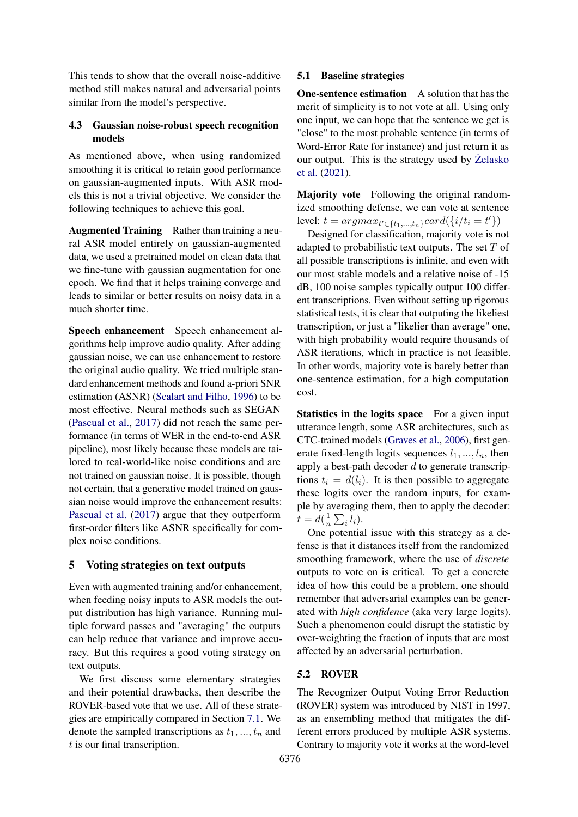This tends to show that the overall noise-additive method still makes natural and adversarial points similar from the model's perspective.

# 4.3 Gaussian noise-robust speech recognition models

As mentioned above, when using randomized smoothing it is critical to retain good performance on gaussian-augmented inputs. With ASR models this is not a trivial objective. We consider the following techniques to achieve this goal.

Augmented Training Rather than training a neural ASR model entirely on gaussian-augmented data, we used a pretrained model on clean data that we fine-tune with gaussian augmentation for one epoch. We find that it helps training converge and leads to similar or better results on noisy data in a much shorter time.

Speech enhancement Speech enhancement algorithms help improve audio quality. After adding gaussian noise, we can use enhancement to restore the original audio quality. We tried multiple standard enhancement methods and found a-priori SNR estimation (ASNR) [\(Scalart and Filho,](#page-10-19) [1996\)](#page-10-19) to be most effective. Neural methods such as SEGAN [\(Pascual et al.,](#page-10-20) [2017\)](#page-10-20) did not reach the same performance (in terms of WER in the end-to-end ASR pipeline), most likely because these models are tailored to real-world-like noise conditions and are not trained on gaussian noise. It is possible, though not certain, that a generative model trained on gaussian noise would improve the enhancement results: [Pascual et al.](#page-10-20) [\(2017\)](#page-10-20) argue that they outperform first-order filters like ASNR specifically for complex noise conditions.

### 5 Voting strategies on text outputs

Even with augmented training and/or enhancement, when feeding noisy inputs to ASR models the output distribution has high variance. Running multiple forward passes and "averaging" the outputs can help reduce that variance and improve accuracy. But this requires a good voting strategy on text outputs.

We first discuss some elementary strategies and their potential drawbacks, then describe the ROVER-based vote that we use. All of these strategies are empirically compared in Section [7.1.](#page-6-0) We denote the sampled transcriptions as  $t_1, ..., t_n$  and  $t$  is our final transcription.

#### <span id="page-4-0"></span>5.1 Baseline strategies

**One-sentence estimation** A solution that has the merit of simplicity is to not vote at all. Using only one input, we can hope that the sentence we get is "close" to the most probable sentence (in terms of Word-Error Rate for instance) and just return it as our output. This is the strategy used by  $\ddot{Z}$ elasko [et al.](#page-11-4) [\(2021\)](#page-11-4).

Majority vote Following the original randomized smoothing defense, we can vote at sentence level:  $t = argmax_{t' \in \{t_1, ..., t_n\}} card(\{i/t_i = t'\})$ 

Designed for classification, majority vote is not adapted to probabilistic text outputs. The set  $T$  of all possible transcriptions is infinite, and even with our most stable models and a relative noise of -15 dB, 100 noise samples typically output 100 different transcriptions. Even without setting up rigorous statistical tests, it is clear that outputing the likeliest transcription, or just a "likelier than average" one, with high probability would require thousands of ASR iterations, which in practice is not feasible. In other words, majority vote is barely better than one-sentence estimation, for a high computation cost.

Statistics in the logits space For a given input utterance length, some ASR architectures, such as CTC-trained models [\(Graves et al.,](#page-9-15) [2006\)](#page-9-15), first generate fixed-length logits sequences  $l_1, ..., l_n$ , then apply a best-path decoder  $d$  to generate transcriptions  $t_i = d(l_i)$ . It is then possible to aggregate these logits over the random inputs, for example by averaging them, then to apply the decoder:  $t = d\left(\frac{1}{n}\right)$  $\frac{1}{n} \sum_i l_i$ .

One potential issue with this strategy as a defense is that it distances itself from the randomized smoothing framework, where the use of *discrete* outputs to vote on is critical. To get a concrete idea of how this could be a problem, one should remember that adversarial examples can be generated with *high confidence* (aka very large logits). Such a phenomenon could disrupt the statistic by over-weighting the fraction of inputs that are most affected by an adversarial perturbation.

#### 5.2 ROVER

The Recognizer Output Voting Error Reduction (ROVER) system was introduced by NIST in 1997, as an ensembling method that mitigates the different errors produced by multiple ASR systems. Contrary to majority vote it works at the word-level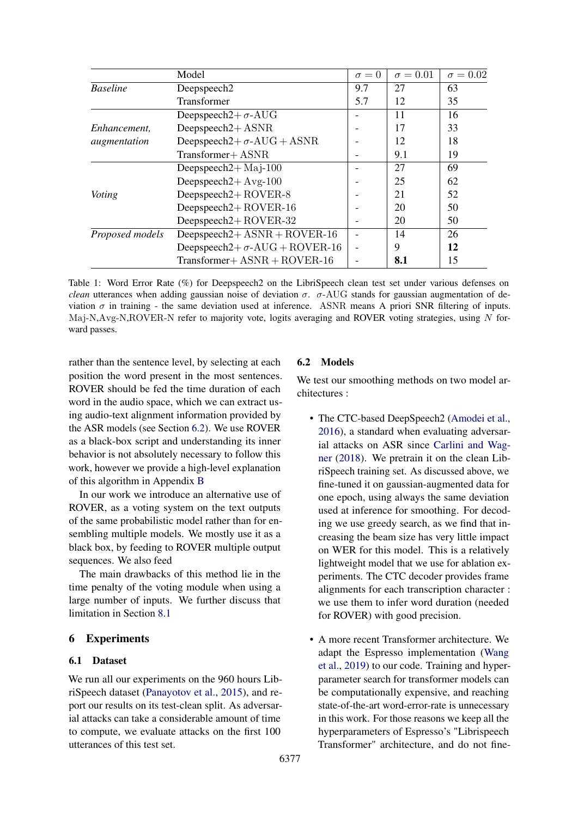<span id="page-5-1"></span>

|                 | Model                                 | $\sigma = 0$ | $\sigma = 0.01$ | $\sigma = 0.02$ |
|-----------------|---------------------------------------|--------------|-----------------|-----------------|
| <b>Baseline</b> | Deepspeech <sub>2</sub>               | 9.7          | 27              | 63              |
|                 | Transformer                           | 5.7          | 12              | 35              |
|                 | Deepspeech $2+\sigma$ -AUG            |              | 11              | 16              |
| Enhancement,    | Deepspeech $2 + ASNR$                 |              | 17              | 33              |
| augmentation    | Deepspeech $2+\sigma$ -AUG + ASNR     |              | 12              | 18              |
|                 | Transformer+ ASNR                     |              | 9.1             | 19              |
|                 | Deepspeech $2+$ Maj-100               |              | 27              | 69              |
|                 | Deepspeech $2 + Avg-100$              |              | 25              | 62              |
| Voting          | Deepspeech $2 + ROVER-8$              |              | 21              | 52              |
|                 | Deepspeech $2 + ROVER-16$             |              | 20              | 50              |
|                 | Deepspeech $2 + \text{ROVER-32}$      |              | 20              | 50              |
| Proposed models | Deepspeech $2 + ASNR + ROVER-16$      |              | 14              | 26              |
|                 | Deepspeech2+ $\sigma$ -AUG + ROVER-16 |              | 9               | 12              |
|                 | $Transformer + ASNR + ROVER-16$       |              | 8.1             | 15              |

Table 1: Word Error Rate (%) for Deepspeech2 on the LibriSpeech clean test set under various defenses on *clean* utterances when adding gaussian noise of deviation  $\sigma$ .  $\sigma$ -AUG stands for gaussian augmentation of deviation  $\sigma$  in training - the same deviation used at inference. ASNR means A priori SNR filtering of inputs. Maj-N,Avg-N,ROVER-N refer to majority vote, logits averaging and ROVER voting strategies, using N forward passes.

rather than the sentence level, by selecting at each position the word present in the most sentences. ROVER should be fed the time duration of each word in the audio space, which we can extract using audio-text alignment information provided by the ASR models (see Section [6.2\)](#page-5-0). We use ROVER as a black-box script and understanding its inner behavior is not absolutely necessary to follow this work, however we provide a high-level explanation of this algorithm in Appendix [B](#page-11-6)

In our work we introduce an alternative use of ROVER, as a voting system on the text outputs of the same probabilistic model rather than for ensembling multiple models. We mostly use it as a black box, by feeding to ROVER multiple output sequences. We also feed

The main drawbacks of this method lie in the time penalty of the voting module when using a large number of inputs. We further discuss that limitation in Section [8.1](#page-8-0)

### 6 Experiments

### 6.1 Dataset

We run all our experiments on the 960 hours LibriSpeech dataset [\(Panayotov et al.,](#page-10-21) [2015\)](#page-10-21), and report our results on its test-clean split. As adversarial attacks can take a considerable amount of time to compute, we evaluate attacks on the first 100 utterances of this test set.

### <span id="page-5-0"></span>6.2 Models

We test our smoothing methods on two model architectures :

- The CTC-based DeepSpeech2 [\(Amodei et al.,](#page-9-16) [2016\)](#page-9-16), a standard when evaluating adversarial attacks on ASR since [Carlini and Wag](#page-9-3)[ner](#page-9-3) [\(2018\)](#page-9-3). We pretrain it on the clean LibriSpeech training set. As discussed above, we fine-tuned it on gaussian-augmented data for one epoch, using always the same deviation used at inference for smoothing. For decoding we use greedy search, as we find that increasing the beam size has very little impact on WER for this model. This is a relatively lightweight model that we use for ablation experiments. The CTC decoder provides frame alignments for each transcription character : we use them to infer word duration (needed for ROVER) with good precision.
- A more recent Transformer architecture. We adapt the Espresso implementation [\(Wang](#page-10-22) [et al.,](#page-10-22) [2019\)](#page-10-22) to our code. Training and hyperparameter search for transformer models can be computationally expensive, and reaching state-of-the-art word-error-rate is unnecessary in this work. For those reasons we keep all the hyperparameters of Espresso's "Librispeech Transformer" architecture, and do not fine-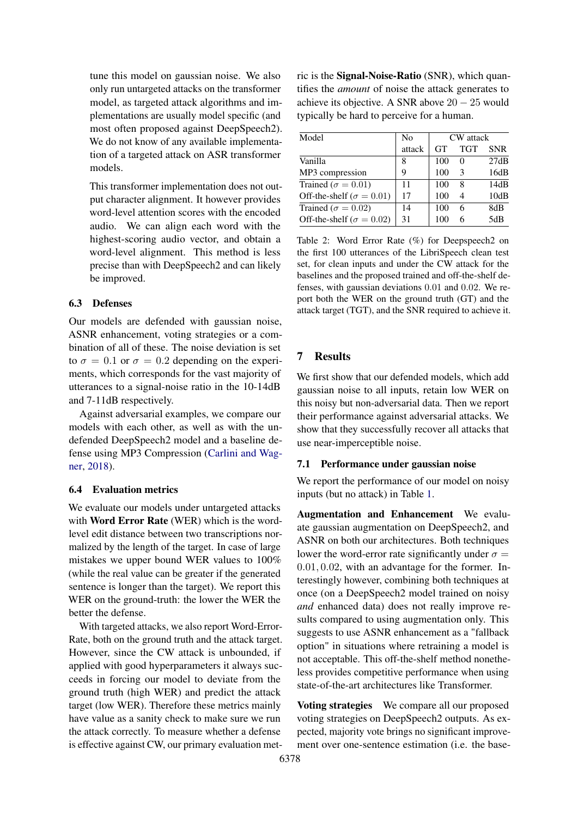tune this model on gaussian noise. We also only run untargeted attacks on the transformer model, as targeted attack algorithms and implementations are usually model specific (and most often proposed against DeepSpeech2). We do not know of any available implementation of a targeted attack on ASR transformer models.

This transformer implementation does not output character alignment. It however provides word-level attention scores with the encoded audio. We can align each word with the highest-scoring audio vector, and obtain a word-level alignment. This method is less precise than with DeepSpeech2 and can likely be improved.

### 6.3 Defenses

Our models are defended with gaussian noise, ASNR enhancement, voting strategies or a combination of all of these. The noise deviation is set to  $\sigma = 0.1$  or  $\sigma = 0.2$  depending on the experiments, which corresponds for the vast majority of utterances to a signal-noise ratio in the 10-14dB and 7-11dB respectively.

Against adversarial examples, we compare our models with each other, as well as with the undefended DeepSpeech2 model and a baseline defense using MP3 Compression [\(Carlini and Wag](#page-9-3)[ner,](#page-9-3) [2018\)](#page-9-3).

#### 6.4 Evaluation metrics

We evaluate our models under untargeted attacks with Word Error Rate (WER) which is the wordlevel edit distance between two transcriptions normalized by the length of the target. In case of large mistakes we upper bound WER values to 100% (while the real value can be greater if the generated sentence is longer than the target). We report this WER on the ground-truth: the lower the WER the better the defense.

With targeted attacks, we also report Word-Error-Rate, both on the ground truth and the attack target. However, since the CW attack is unbounded, if applied with good hyperparameters it always succeeds in forcing our model to deviate from the ground truth (high WER) and predict the attack target (low WER). Therefore these metrics mainly have value as a sanity check to make sure we run the attack correctly. To measure whether a defense is effective against CW, our primary evaluation metric is the Signal-Noise-Ratio (SNR), which quantifies the *amount* of noise the attack generates to achieve its objective. A SNR above  $20 - 25$  would typically be hard to perceive for a human.

<span id="page-6-1"></span>

| Model                             | N <sub>0</sub> |           | CW attack                |            |
|-----------------------------------|----------------|-----------|--------------------------|------------|
|                                   | attack         | <b>GT</b> | <b>TGT</b>               | <b>SNR</b> |
| Vanilla                           | 8              | 100       | 0                        | 27dB       |
| MP3 compression                   | 9              | 100       | 3                        | 16dB       |
| Trained ( $\sigma = 0.01$ )       | 11             | 100       | 8                        | 14dB       |
| Off-the-shelf ( $\sigma = 0.01$ ) | 17             | 100       | $\overline{\mathcal{A}}$ | 10dB       |
| Trained ( $\sigma = 0.02$ )       | 14             | 100       | 6                        | 8dB        |
| Off-the-shelf ( $\sigma = 0.02$ ) | 31             | 100       | 6                        | 5dB        |

Table 2: Word Error Rate (%) for Deepspeech2 on the first 100 utterances of the LibriSpeech clean test set, for clean inputs and under the CW attack for the baselines and the proposed trained and off-the-shelf defenses, with gaussian deviations 0.01 and 0.02. We report both the WER on the ground truth (GT) and the attack target (TGT), and the SNR required to achieve it.

### 7 Results

We first show that our defended models, which add gaussian noise to all inputs, retain low WER on this noisy but non-adversarial data. Then we report their performance against adversarial attacks. We show that they successfully recover all attacks that use near-imperceptible noise.

# <span id="page-6-0"></span>7.1 Performance under gaussian noise

We report the performance of our model on noisy inputs (but no attack) in Table [1.](#page-5-1)

Augmentation and Enhancement We evaluate gaussian augmentation on DeepSpeech2, and ASNR on both our architectures. Both techniques lower the word-error rate significantly under  $\sigma =$ 0.01, 0.02, with an advantage for the former. Interestingly however, combining both techniques at once (on a DeepSpeech2 model trained on noisy *and* enhanced data) does not really improve results compared to using augmentation only. This suggests to use ASNR enhancement as a "fallback option" in situations where retraining a model is not acceptable. This off-the-shelf method nonetheless provides competitive performance when using state-of-the-art architectures like Transformer.

Voting strategies We compare all our proposed voting strategies on DeepSpeech2 outputs. As expected, majority vote brings no significant improvement over one-sentence estimation (i.e. the base-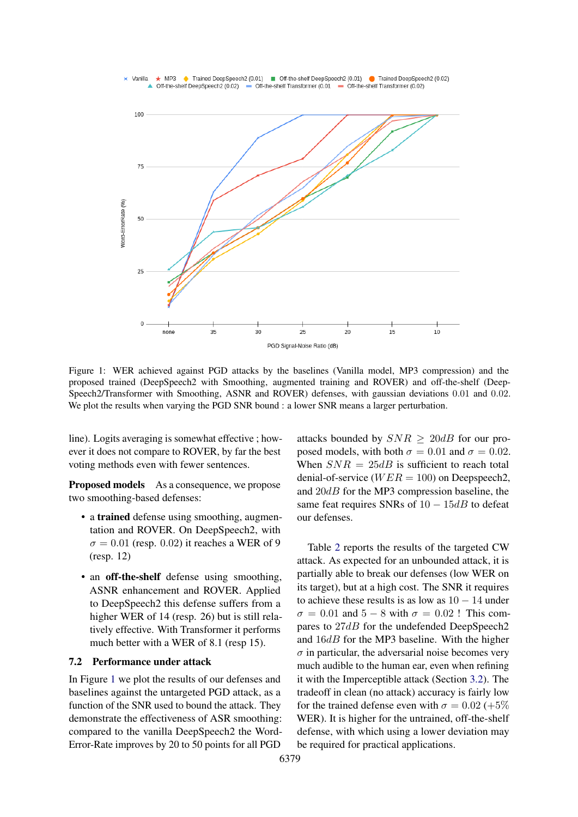<span id="page-7-0"></span>

Figure 1: WER achieved against PGD attacks by the baselines (Vanilla model, MP3 compression) and the proposed trained (DeepSpeech2 with Smoothing, augmented training and ROVER) and off-the-shelf (Deep-Speech2/Transformer with Smoothing, ASNR and ROVER) defenses, with gaussian deviations 0.01 and 0.02. We plot the results when varying the PGD SNR bound : a lower SNR means a larger perturbation.

line). Logits averaging is somewhat effective ; however it does not compare to ROVER, by far the best voting methods even with fewer sentences.

Proposed models As a consequence, we propose two smoothing-based defenses:

- a trained defense using smoothing, augmentation and ROVER. On DeepSpeech2, with  $\sigma = 0.01$  (resp. 0.02) it reaches a WER of 9 (resp. 12)
- an off-the-shelf defense using smoothing, ASNR enhancement and ROVER. Applied to DeepSpeech2 this defense suffers from a higher WER of 14 (resp. 26) but is still relatively effective. With Transformer it performs much better with a WER of 8.1 (resp 15).

### 7.2 Performance under attack

In Figure [1](#page-7-0) we plot the results of our defenses and baselines against the untargeted PGD attack, as a function of the SNR used to bound the attack. They demonstrate the effectiveness of ASR smoothing: compared to the vanilla DeepSpeech2 the Word-Error-Rate improves by 20 to 50 points for all PGD

attacks bounded by  $SNR \geq 20dB$  for our proposed models, with both  $\sigma = 0.01$  and  $\sigma = 0.02$ . When  $SNR = 25dB$  is sufficient to reach total denial-of-service ( $WER = 100$ ) on Deepspeech2, and 20dB for the MP3 compression baseline, the same feat requires SNRs of  $10 - 15dB$  to defeat our defenses.

Table [2](#page-6-1) reports the results of the targeted CW attack. As expected for an unbounded attack, it is partially able to break our defenses (low WER on its target), but at a high cost. The SNR it requires to achieve these results is as low as  $10 - 14$  under  $\sigma = 0.01$  and  $5 - 8$  with  $\sigma = 0.02$ ! This compares to  $27dB$  for the undefended DeepSpeech2 and 16dB for the MP3 baseline. With the higher  $\sigma$  in particular, the adversarial noise becomes very much audible to the human ear, even when refining it with the Imperceptible attack (Section [3.2\)](#page-3-1). The tradeoff in clean (no attack) accuracy is fairly low for the trained defense even with  $\sigma = 0.02$  (+5%) WER). It is higher for the untrained, off-the-shelf defense, with which using a lower deviation may be required for practical applications.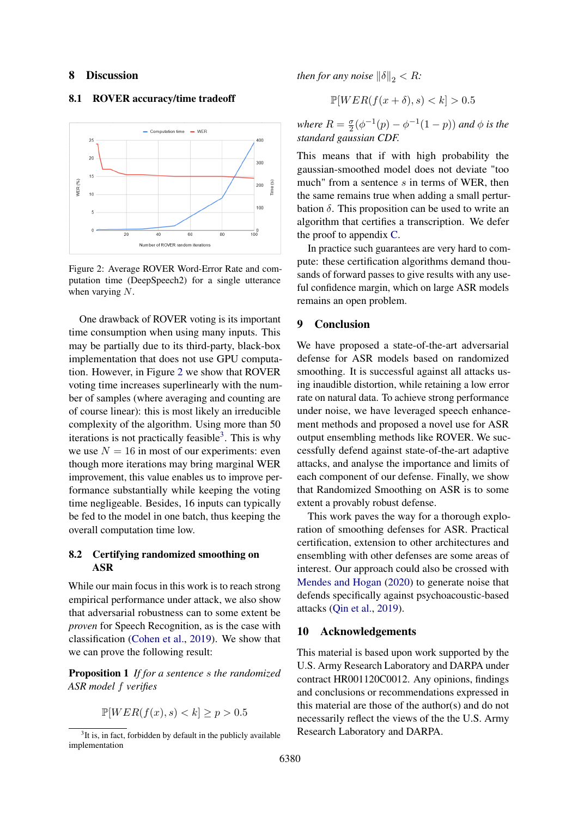#### 8 Discussion

#### <span id="page-8-0"></span>8.1 ROVER accuracy/time tradeoff

<span id="page-8-1"></span>

Figure 2: Average ROVER Word-Error Rate and computation time (DeepSpeech2) for a single utterance when varying N.

One drawback of ROVER voting is its important time consumption when using many inputs. This may be partially due to its third-party, black-box implementation that does not use GPU computation. However, in Figure [2](#page-8-1) we show that ROVER voting time increases superlinearly with the number of samples (where averaging and counting are of course linear): this is most likely an irreducible complexity of the algorithm. Using more than 50 iterations is not practically feasible<sup>[3](#page-8-2)</sup>. This is why we use  $N = 16$  in most of our experiments: even though more iterations may bring marginal WER improvement, this value enables us to improve performance substantially while keeping the voting time negligeable. Besides, 16 inputs can typically be fed to the model in one batch, thus keeping the overall computation time low.

#### 8.2 Certifying randomized smoothing on ASR

While our main focus in this work is to reach strong empirical performance under attack, we also show that adversarial robustness can to some extent be *proven* for Speech Recognition, as is the case with classification [\(Cohen et al.,](#page-9-1) [2019\)](#page-9-1). We show that we can prove the following result:

Proposition 1 *If for a sentence* s *the randomized ASR model* f *verifies*

$$
\mathbb{P}[WER(f(x), s) < k] \ge p > 0.5
$$

*then for any noise*  $\|\delta\|_2 < R$ *:* 

$$
\mathbb{P}[WER(f(x+\delta), s) < k] > 0.5
$$

*where*  $R = \frac{\sigma}{2}$  $\frac{\sigma}{2}(\phi^{-1}(p) - \phi^{-1}(1-p))$  and  $\phi$  is the *standard gaussian CDF.*

This means that if with high probability the gaussian-smoothed model does not deviate "too much" from a sentence  $s$  in terms of WER, then the same remains true when adding a small perturbation  $\delta$ . This proposition can be used to write an algorithm that certifies a transcription. We defer the proof to appendix [C.](#page-12-0)

In practice such guarantees are very hard to compute: these certification algorithms demand thousands of forward passes to give results with any useful confidence margin, which on large ASR models remains an open problem.

### 9 Conclusion

We have proposed a state-of-the-art adversarial defense for ASR models based on randomized smoothing. It is successful against all attacks using inaudible distortion, while retaining a low error rate on natural data. To achieve strong performance under noise, we have leveraged speech enhancement methods and proposed a novel use for ASR output ensembling methods like ROVER. We successfully defend against state-of-the-art adaptive attacks, and analyse the importance and limits of each component of our defense. Finally, we show that Randomized Smoothing on ASR is to some extent a provably robust defense.

This work paves the way for a thorough exploration of smoothing defenses for ASR. Practical certification, extension to other architectures and ensembling with other defenses are some areas of interest. Our approach could also be crossed with [Mendes and Hogan](#page-10-18) [\(2020\)](#page-10-18) to generate noise that defends specifically against psychoacoustic-based attacks [\(Qin et al.,](#page-10-4) [2019\)](#page-10-4).

#### 10 Acknowledgements

This material is based upon work supported by the U.S. Army Research Laboratory and DARPA under contract HR001120C0012. Any opinions, findings and conclusions or recommendations expressed in this material are those of the author(s) and do not necessarily reflect the views of the the U.S. Army Research Laboratory and DARPA.

<span id="page-8-2"></span> $3$ It is, in fact, forbidden by default in the publicly available implementation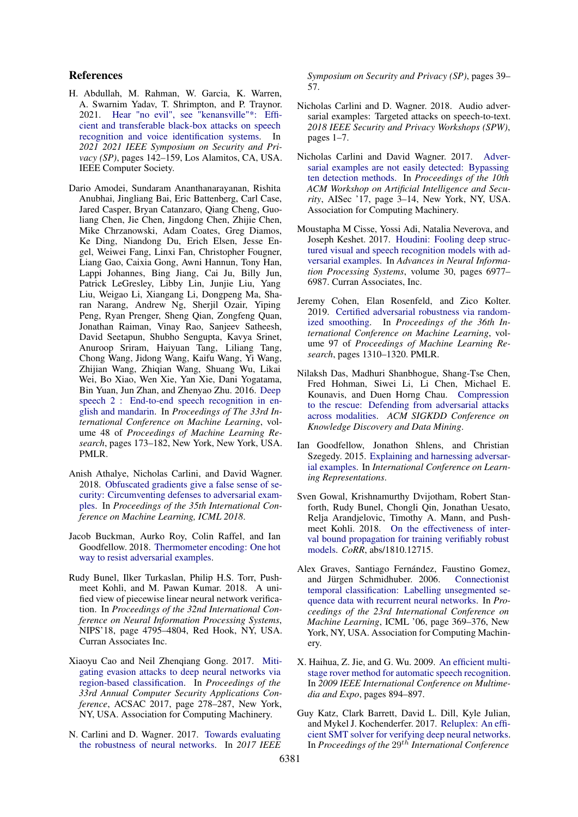### References

- <span id="page-9-7"></span>H. Abdullah, M. Rahman, W. Garcia, K. Warren, A. Swarnim Yadav, T. Shrimpton, and P. Traynor. 2021. [Hear "no evil", see "kenansville"\\*: Effi](https://doi.org/10.1109/SP40001.2021.00009)[cient and transferable black-box attacks on speech](https://doi.org/10.1109/SP40001.2021.00009) [recognition and voice identification systems.](https://doi.org/10.1109/SP40001.2021.00009) In *2021 2021 IEEE Symposium on Security and Privacy (SP)*, pages 142–159, Los Alamitos, CA, USA. IEEE Computer Society.
- <span id="page-9-16"></span>Dario Amodei, Sundaram Ananthanarayanan, Rishita Anubhai, Jingliang Bai, Eric Battenberg, Carl Case, Jared Casper, Bryan Catanzaro, Qiang Cheng, Guoliang Chen, Jie Chen, Jingdong Chen, Zhijie Chen, Mike Chrzanowski, Adam Coates, Greg Diamos, Ke Ding, Niandong Du, Erich Elsen, Jesse Engel, Weiwei Fang, Linxi Fan, Christopher Fougner, Liang Gao, Caixia Gong, Awni Hannun, Tony Han, Lappi Johannes, Bing Jiang, Cai Ju, Billy Jun, Patrick LeGresley, Libby Lin, Junjie Liu, Yang Liu, Weigao Li, Xiangang Li, Dongpeng Ma, Sharan Narang, Andrew Ng, Sherjil Ozair, Yiping Peng, Ryan Prenger, Sheng Qian, Zongfeng Quan, Jonathan Raiman, Vinay Rao, Sanjeev Satheesh, David Seetapun, Shubho Sengupta, Kavya Srinet, Anuroop Sriram, Haiyuan Tang, Liliang Tang, Chong Wang, Jidong Wang, Kaifu Wang, Yi Wang, Zhijian Wang, Zhiqian Wang, Shuang Wu, Likai Wei, Bo Xiao, Wen Xie, Yan Xie, Dani Yogatama, Bin Yuan, Jun Zhan, and Zhenyao Zhu. 2016. [Deep](http://proceedings.mlr.press/v48/amodei16.html) [speech 2 : End-to-end speech recognition in en](http://proceedings.mlr.press/v48/amodei16.html)[glish and mandarin.](http://proceedings.mlr.press/v48/amodei16.html) In *Proceedings of The 33rd International Conference on Machine Learning*, volume 48 of *Proceedings of Machine Learning Research*, pages 173–182, New York, New York, USA. PMLR.
- <span id="page-9-0"></span>Anish Athalye, Nicholas Carlini, and David Wagner. 2018. [Obfuscated gradients give a false sense of se](https://arxiv.org/abs/1802.00420)[curity: Circumventing defenses to adversarial exam](https://arxiv.org/abs/1802.00420)[ples.](https://arxiv.org/abs/1802.00420) In *Proceedings of the 35th International Conference on Machine Learning, ICML 2018*.
- <span id="page-9-8"></span>Jacob Buckman, Aurko Roy, Colin Raffel, and Ian Goodfellow. 2018. [Thermometer encoding: One hot](https://openreview.net/pdf?id=S18Su--CW) [way to resist adversarial examples.](https://openreview.net/pdf?id=S18Su--CW)
- <span id="page-9-13"></span>Rudy Bunel, Ilker Turkaslan, Philip H.S. Torr, Pushmeet Kohli, and M. Pawan Kumar. 2018. A unified view of piecewise linear neural network verification. In *Proceedings of the 32nd International Conference on Neural Information Processing Systems*, NIPS'18, page 4795–4804, Red Hook, NY, USA. Curran Associates Inc.
- <span id="page-9-10"></span>Xiaoyu Cao and Neil Zhenqiang Gong. 2017. [Miti](https://doi.org/10.1145/3134600.3134606)[gating evasion attacks to deep neural networks via](https://doi.org/10.1145/3134600.3134606) [region-based classification.](https://doi.org/10.1145/3134600.3134606) In *Proceedings of the 33rd Annual Computer Security Applications Conference*, ACSAC 2017, page 278–287, New York, NY, USA. Association for Computing Machinery.
- <span id="page-9-5"></span>N. Carlini and D. Wagner. 2017. [Towards evaluating](https://doi.org/10.1109/SP.2017.49) [the robustness of neural networks.](https://doi.org/10.1109/SP.2017.49) In *2017 IEEE*

*Symposium on Security and Privacy (SP)*, pages 39– 57.

- <span id="page-9-3"></span>Nicholas Carlini and D. Wagner. 2018. Audio adversarial examples: Targeted attacks on speech-to-text. *2018 IEEE Security and Privacy Workshops (SPW)*, pages 1–7.
- <span id="page-9-9"></span>Nicholas Carlini and David Wagner. 2017. [Adver](https://doi.org/10.1145/3128572.3140444)[sarial examples are not easily detected: Bypassing](https://doi.org/10.1145/3128572.3140444) [ten detection methods.](https://doi.org/10.1145/3128572.3140444) In *Proceedings of the 10th ACM Workshop on Artificial Intelligence and Security*, AISec '17, page 3–14, New York, NY, USA. Association for Computing Machinery.
- <span id="page-9-6"></span>Moustapha M Cisse, Yossi Adi, Natalia Neverova, and Joseph Keshet. 2017. [Houdini: Fooling deep struc](https://proceedings.neurips.cc/paper/2017/file/d494020ff8ec181ef98ed97ac3f25453-Paper.pdf)[tured visual and speech recognition models with ad](https://proceedings.neurips.cc/paper/2017/file/d494020ff8ec181ef98ed97ac3f25453-Paper.pdf)[versarial examples.](https://proceedings.neurips.cc/paper/2017/file/d494020ff8ec181ef98ed97ac3f25453-Paper.pdf) In *Advances in Neural Information Processing Systems*, volume 30, pages 6977– 6987. Curran Associates, Inc.
- <span id="page-9-1"></span>Jeremy Cohen, Elan Rosenfeld, and Zico Kolter. 2019. [Certified adversarial robustness via random](http://proceedings.mlr.press/v97/cohen19c.html)[ized smoothing.](http://proceedings.mlr.press/v97/cohen19c.html) In *Proceedings of the 36th International Conference on Machine Learning*, volume 97 of *Proceedings of Machine Learning Research*, pages 1310–1320. PMLR.
- <span id="page-9-14"></span>Nilaksh Das, Madhuri Shanbhogue, Shang-Tse Chen, Fred Hohman, Siwei Li, Li Chen, Michael E. Kounavis, and Duen Horng Chau. [Compression](https://par.nsf.gov/biblio/10095923) [to the rescue: Defending from adversarial attacks](https://par.nsf.gov/biblio/10095923) [across modalities.](https://par.nsf.gov/biblio/10095923) *ACM SIGKDD Conference on Knowledge Discovery and Data Mining*.
- <span id="page-9-4"></span>Ian Goodfellow, Jonathon Shlens, and Christian Szegedy. 2015. [Explaining and harnessing adversar](http://arxiv.org/abs/1412.6572)[ial examples.](http://arxiv.org/abs/1412.6572) In *International Conference on Learning Representations*.
- <span id="page-9-11"></span>Sven Gowal, Krishnamurthy Dvijotham, Robert Stanforth, Rudy Bunel, Chongli Qin, Jonathan Uesato, Relja Arandjelovic, Timothy A. Mann, and Pushmeet Kohli. 2018. [On the effectiveness of inter](http://arxiv.org/abs/1810.12715)[val bound propagation for training verifiably robust](http://arxiv.org/abs/1810.12715) [models.](http://arxiv.org/abs/1810.12715) *CoRR*, abs/1810.12715.
- <span id="page-9-15"></span>Alex Graves, Santiago Fernández, Faustino Gomez, and Jürgen Schmidhuber. 2006. [Connectionist](https://doi.org/10.1145/1143844.1143891) [temporal classification: Labelling unsegmented se](https://doi.org/10.1145/1143844.1143891)[quence data with recurrent neural networks.](https://doi.org/10.1145/1143844.1143891) In *Proceedings of the 23rd International Conference on Machine Learning*, ICML '06, page 369–376, New York, NY, USA. Association for Computing Machinery.
- <span id="page-9-2"></span>X. Haihua, Z. Jie, and G. Wu. 2009. [An efficient multi](https://doi.org/10.1109/ICME.2009.5202639)[stage rover method for automatic speech recognition.](https://doi.org/10.1109/ICME.2009.5202639) In *2009 IEEE International Conference on Multimedia and Expo*, pages 894–897.
- <span id="page-9-12"></span>Guy Katz, Clark Barrett, David L. Dill, Kyle Julian, and Mykel J. Kochenderfer. 2017. [Reluplex: An effi](http://www.cs.stanford.edu/~barrett/pubs/KBD+17.pdf)[cient SMT solver for verifying deep neural networks.](http://www.cs.stanford.edu/~barrett/pubs/KBD+17.pdf) In *Proceedings of the* 29<sup>th</sup> *International Conference*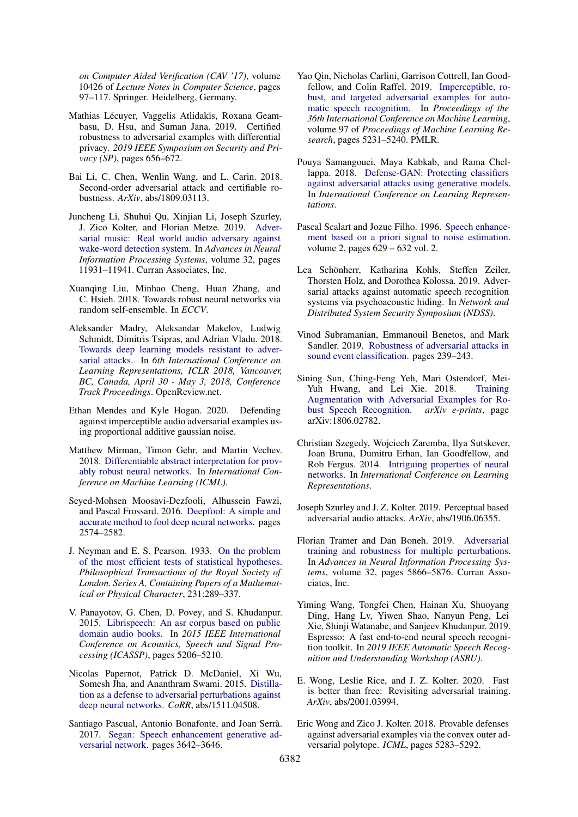*on Computer Aided Verification (CAV '17)*, volume 10426 of *Lecture Notes in Computer Science*, pages 97–117. Springer. Heidelberg, Germany.

- <span id="page-10-14"></span>Mathias Lécuyer, Vaggelis Atlidakis, Roxana Geambasu, D. Hsu, and Suman Jana. 2019. Certified robustness to adversarial examples with differential privacy. *2019 IEEE Symposium on Security and Privacy (SP)*, pages 656–672.
- <span id="page-10-12"></span>Bai Li, C. Chen, Wenlin Wang, and L. Carin. 2018. Second-order adversarial attack and certifiable robustness. *ArXiv*, abs/1809.03113.
- <span id="page-10-6"></span>Juncheng Li, Shuhui Qu, Xinjian Li, Joseph Szurley, J. Zico Kolter, and Florian Metze. 2019. [Adver](https://proceedings.neurips.cc/paper/2019/file/ebbdfea212e3a756a1fded7b35578525-Paper.pdf)[sarial music: Real world audio adversary against](https://proceedings.neurips.cc/paper/2019/file/ebbdfea212e3a756a1fded7b35578525-Paper.pdf) [wake-word detection system.](https://proceedings.neurips.cc/paper/2019/file/ebbdfea212e3a756a1fded7b35578525-Paper.pdf) In *Advances in Neural Information Processing Systems*, volume 32, pages 11931–11941. Curran Associates, Inc.
- <span id="page-10-13"></span>Xuanqing Liu, Minhao Cheng, Huan Zhang, and C. Hsieh. 2018. Towards robust neural networks via random self-ensemble. In *ECCV*.
- <span id="page-10-2"></span>Aleksander Madry, Aleksandar Makelov, Ludwig Schmidt, Dimitris Tsipras, and Adrian Vladu. 2018. [Towards deep learning models resistant to adver](https://openreview.net/forum?id=rJzIBfZAb)[sarial attacks.](https://openreview.net/forum?id=rJzIBfZAb) In *6th International Conference on Learning Representations, ICLR 2018, Vancouver, BC, Canada, April 30 - May 3, 2018, Conference Track Proceedings*. OpenReview.net.
- <span id="page-10-18"></span>Ethan Mendes and Kyle Hogan. 2020. Defending against imperceptible audio adversarial examples using proportional additive gaussian noise.
- <span id="page-10-15"></span>Matthew Mirman, Timon Gehr, and Martin Vechev. 2018. [Differentiable abstract interpretation for prov](https://www.icml.cc/Conferences/2018/Schedule?showEvent=2477)[ably robust neural networks.](https://www.icml.cc/Conferences/2018/Schedule?showEvent=2477) In *International Conference on Machine Learning (ICML)*.
- <span id="page-10-5"></span>Seyed-Mohsen Moosavi-Dezfooli, Alhussein Fawzi, and Pascal Frossard. 2016. [Deepfool: A simple and](https://doi.org/10.1109/CVPR.2016.282) [accurate method to fool deep neural networks.](https://doi.org/10.1109/CVPR.2016.282) pages 2574–2582.
- <span id="page-10-23"></span>J. Neyman and E. S. Pearson. 1933. [On the problem](http://www.jstor.org/stable/91247) [of the most efficient tests of statistical hypotheses.](http://www.jstor.org/stable/91247) *Philosophical Transactions of the Royal Society of London. Series A, Containing Papers of a Mathematical or Physical Character*, 231:289–337.
- <span id="page-10-21"></span>V. Panayotov, G. Chen, D. Povey, and S. Khudanpur. 2015. [Librispeech: An asr corpus based on public](https://doi.org/10.1109/ICASSP.2015.7178964) [domain audio books.](https://doi.org/10.1109/ICASSP.2015.7178964) In *2015 IEEE International Conference on Acoustics, Speech and Signal Processing (ICASSP)*, pages 5206–5210.
- <span id="page-10-9"></span>Nicolas Papernot, Patrick D. McDaniel, Xi Wu, Somesh Jha, and Ananthram Swami. 2015. [Distilla](http://dblp.uni-trier.de/db/journals/corr/corr1511.html#PapernotMWJS15)[tion as a defense to adversarial perturbations against](http://dblp.uni-trier.de/db/journals/corr/corr1511.html#PapernotMWJS15) [deep neural networks.](http://dblp.uni-trier.de/db/journals/corr/corr1511.html#PapernotMWJS15) *CoRR*, abs/1511.04508.
- <span id="page-10-20"></span>Santiago Pascual, Antonio Bonafonte, and Joan Serrà. 2017. [Segan: Speech enhancement generative ad](https://doi.org/10.21437/Interspeech.2017-1428)[versarial network.](https://doi.org/10.21437/Interspeech.2017-1428) pages 3642–3646.
- <span id="page-10-4"></span>Yao Qin, Nicholas Carlini, Garrison Cottrell, Ian Goodfellow, and Colin Raffel. 2019. [Imperceptible, ro](http://proceedings.mlr.press/v97/qin19a.html)[bust, and targeted adversarial examples for auto](http://proceedings.mlr.press/v97/qin19a.html)[matic speech recognition.](http://proceedings.mlr.press/v97/qin19a.html) In *Proceedings of the 36th International Conference on Machine Learning*, volume 97 of *Proceedings of Machine Learning Research*, pages 5231–5240. PMLR.
- <span id="page-10-1"></span>Pouya Samangouei, Maya Kabkab, and Rama Chellappa. 2018. [Defense-GAN: Protecting classifiers](https://openreview.net/forum?id=BkJ3ibb0-) [against adversarial attacks using generative models.](https://openreview.net/forum?id=BkJ3ibb0-) In *International Conference on Learning Representations*.
- <span id="page-10-19"></span>Pascal Scalart and Jozue Filho. 1996. [Speech enhance](https://doi.org/10.1109/ICASSP.1996.543199)[ment based on a priori signal to noise estimation.](https://doi.org/10.1109/ICASSP.1996.543199) volume 2, pages 629 – 632 vol. 2.
- <span id="page-10-8"></span>Lea Schönherr, Katharina Kohls, Steffen Zeiler, Thorsten Holz, and Dorothea Kolossa. 2019. Adversarial attacks against automatic speech recognition systems via psychoacoustic hiding. In *Network and Distributed System Security Symposium (NDSS)*.
- <span id="page-10-17"></span>Vinod Subramanian, Emmanouil Benetos, and Mark Sandler. 2019. [Robustness of adversarial attacks in](https://doi.org/10.33682/sp9n-qk06) [sound event classification.](https://doi.org/10.33682/sp9n-qk06) pages 239–243.
- <span id="page-10-16"></span>Sining Sun, Ching-Feng Yeh, Mari Ostendorf, Mei-Yuh Hwang, and Lei Xie. 2018. [Training](http://arxiv.org/abs/1806.02782) [Augmentation with Adversarial Examples for Ro](http://arxiv.org/abs/1806.02782)[bust Speech Recognition.](http://arxiv.org/abs/1806.02782) *arXiv e-prints*, page arXiv:1806.02782.
- <span id="page-10-0"></span>Christian Szegedy, Wojciech Zaremba, Ilya Sutskever, Joan Bruna, Dumitru Erhan, Ian Goodfellow, and Rob Fergus. 2014. [Intriguing properties of neural](http://arxiv.org/abs/1312.6199) [networks.](http://arxiv.org/abs/1312.6199) In *International Conference on Learning Representations*.
- <span id="page-10-7"></span>Joseph Szurley and J. Z. Kolter. 2019. Perceptual based adversarial audio attacks. *ArXiv*, abs/1906.06355.
- <span id="page-10-11"></span>Florian Tramer and Dan Boneh. 2019. [Adversarial](https://proceedings.neurips.cc/paper/2019/file/5d4ae76f053f8f2516ad12961ef7fe97-Paper.pdf) [training and robustness for multiple perturbations.](https://proceedings.neurips.cc/paper/2019/file/5d4ae76f053f8f2516ad12961ef7fe97-Paper.pdf) In *Advances in Neural Information Processing Systems*, volume 32, pages 5866–5876. Curran Associates, Inc.
- <span id="page-10-22"></span>Yiming Wang, Tongfei Chen, Hainan Xu, Shuoyang Ding, Hang Lv, Yiwen Shao, Nanyun Peng, Lei Xie, Shinji Watanabe, and Sanjeev Khudanpur. 2019. Espresso: A fast end-to-end neural speech recognition toolkit. In *2019 IEEE Automatic Speech Recognition and Understanding Workshop (ASRU)*.
- <span id="page-10-10"></span>E. Wong, Leslie Rice, and J. Z. Kolter. 2020. Fast is better than free: Revisiting adversarial training. *ArXiv*, abs/2001.03994.
- <span id="page-10-3"></span>Eric Wong and Zico J. Kolter. 2018. Provable defenses against adversarial examples via the convex outer adversarial polytope. *ICML*, pages 5283–5292.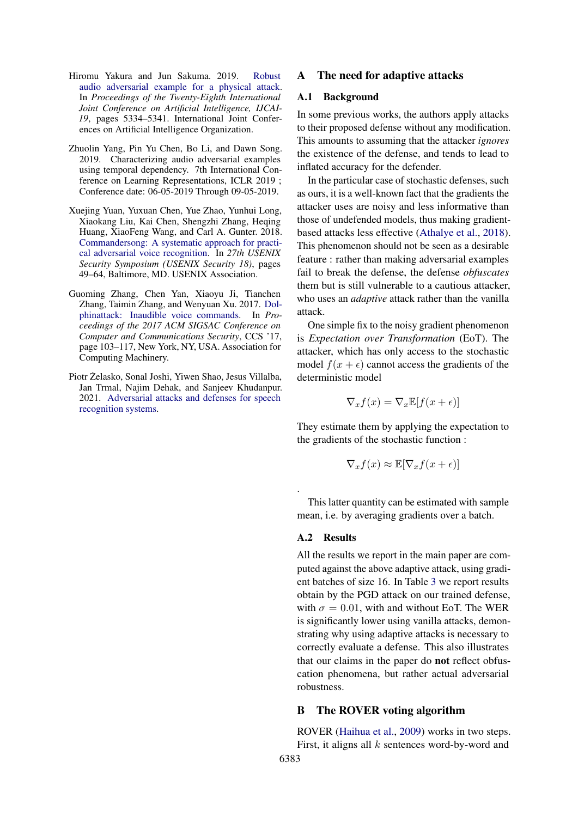- <span id="page-11-2"></span>Hiromu Yakura and Jun Sakuma. 2019. [Robust](https://doi.org/10.24963/ijcai.2019/741) [audio adversarial example for a physical attack.](https://doi.org/10.24963/ijcai.2019/741) In *Proceedings of the Twenty-Eighth International Joint Conference on Artificial Intelligence, IJCAI-19*, pages 5334–5341. International Joint Conferences on Artificial Intelligence Organization.
- <span id="page-11-3"></span>Zhuolin Yang, Pin Yu Chen, Bo Li, and Dawn Song. 2019. Characterizing audio adversarial examples using temporal dependency. 7th International Conference on Learning Representations, ICLR 2019 ; Conference date: 06-05-2019 Through 09-05-2019.
- <span id="page-11-1"></span>Xuejing Yuan, Yuxuan Chen, Yue Zhao, Yunhui Long, Xiaokang Liu, Kai Chen, Shengzhi Zhang, Heqing Huang, XiaoFeng Wang, and Carl A. Gunter. 2018. [Commandersong: A systematic approach for practi](https://www.usenix.org/conference/usenixsecurity18/presentation/yuan-xuejing)[cal adversarial voice recognition.](https://www.usenix.org/conference/usenixsecurity18/presentation/yuan-xuejing) In *27th USENIX Security Symposium (USENIX Security 18)*, pages 49–64, Baltimore, MD. USENIX Association.
- <span id="page-11-0"></span>Guoming Zhang, Chen Yan, Xiaoyu Ji, Tianchen Zhang, Taimin Zhang, and Wenyuan Xu. 2017. [Dol](https://doi.org/10.1145/3133956.3134052)[phinattack: Inaudible voice commands.](https://doi.org/10.1145/3133956.3134052) In *Proceedings of the 2017 ACM SIGSAC Conference on Computer and Communications Security*, CCS '17, page 103–117, New York, NY, USA. Association for Computing Machinery.
- <span id="page-11-4"></span>Piotr Żelasko, Sonal Joshi, Yiwen Shao, Jesus Villalba, Jan Trmal, Najim Dehak, and Sanjeev Khudanpur. 2021. [Adversarial attacks and defenses for speech](http://arxiv.org/abs/2103.17122) [recognition systems.](http://arxiv.org/abs/2103.17122)

### <span id="page-11-5"></span>A The need for adaptive attacks

#### A.1 Background

In some previous works, the authors apply attacks to their proposed defense without any modification. This amounts to assuming that the attacker *ignores* the existence of the defense, and tends to lead to inflated accuracy for the defender.

In the particular case of stochastic defenses, such as ours, it is a well-known fact that the gradients the attacker uses are noisy and less informative than those of undefended models, thus making gradientbased attacks less effective [\(Athalye et al.,](#page-9-0) [2018\)](#page-9-0). This phenomenon should not be seen as a desirable feature : rather than making adversarial examples fail to break the defense, the defense *obfuscates* them but is still vulnerable to a cautious attacker, who uses an *adaptive* attack rather than the vanilla attack.

One simple fix to the noisy gradient phenomenon is *Expectation over Transformation* (EoT). The attacker, which has only access to the stochastic model  $f(x + \epsilon)$  cannot access the gradients of the deterministic model

$$
\nabla_x f(x) = \nabla_x \mathbb{E}[f(x+\epsilon)]
$$

They estimate them by applying the expectation to the gradients of the stochastic function :

$$
\nabla_x f(x) \approx \mathbb{E}[\nabla_x f(x+\epsilon)]
$$

This latter quantity can be estimated with sample mean, i.e. by averaging gradients over a batch.

#### A.2 Results

.

All the results we report in the main paper are computed against the above adaptive attack, using gradient batches of size 16. In Table [3](#page-12-1) we report results obtain by the PGD attack on our trained defense, with  $\sigma = 0.01$ , with and without EoT. The WER is significantly lower using vanilla attacks, demonstrating why using adaptive attacks is necessary to correctly evaluate a defense. This also illustrates that our claims in the paper do not reflect obfuscation phenomena, but rather actual adversarial robustness.

#### <span id="page-11-6"></span>B The ROVER voting algorithm

ROVER [\(Haihua et al.,](#page-9-2) [2009\)](#page-9-2) works in two steps. First, it aligns all  $k$  sentences word-by-word and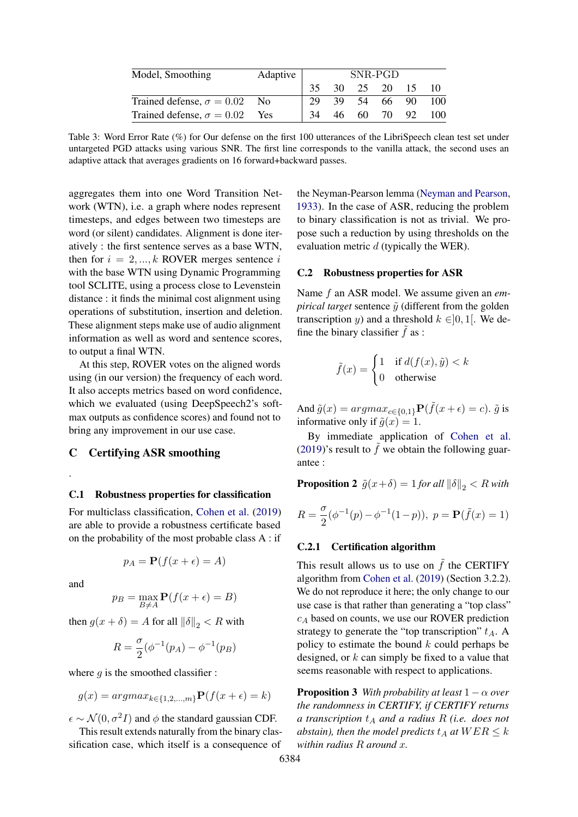<span id="page-12-1"></span>

| Model, Smoothing                     | Adaptive | SNR-PGD |      |             |          |     |      |
|--------------------------------------|----------|---------|------|-------------|----------|-----|------|
|                                      |          |         |      | 30 25 20 15 |          |     |      |
| Trained defense, $\sigma = 0.02$ No  |          | 29      | 39 · |             | 54 66 90 |     | -100 |
| Trained defense, $\sigma = 0.02$ Yes |          | 34      | 46.  | 60.         | - 70     | 92. | 100  |

Table 3: Word Error Rate (%) for Our defense on the first 100 utterances of the LibriSpeech clean test set under untargeted PGD attacks using various SNR. The first line corresponds to the vanilla attack, the second uses an adaptive attack that averages gradients on 16 forward+backward passes.

aggregates them into one Word Transition Network (WTN), i.e. a graph where nodes represent timesteps, and edges between two timesteps are word (or silent) candidates. Alignment is done iteratively : the first sentence serves as a base WTN, then for  $i = 2, ..., k$  ROVER merges sentence i with the base WTN using Dynamic Programming tool SCLITE, using a process close to Levenstein distance : it finds the minimal cost alignment using operations of substitution, insertion and deletion. These alignment steps make use of audio alignment information as well as word and sentence scores, to output a final WTN.

At this step, ROVER votes on the aligned words using (in our version) the frequency of each word. It also accepts metrics based on word confidence, which we evaluated (using DeepSpeech2's softmax outputs as confidence scores) and found not to bring any improvement in our use case.

### <span id="page-12-0"></span>C Certifying ASR smoothing

#### C.1 Robustness properties for classification

For multiclass classification, [Cohen et al.](#page-9-1) [\(2019\)](#page-9-1) are able to provide a robustness certificate based on the probability of the most probable class A : if

$$
p_A = \mathbf{P}(f(x + \epsilon) = A)
$$

and

.

$$
p_B = \max_{B \neq A} \mathbf{P}(f(x + \epsilon) = B)
$$

then  $g(x + \delta) = A$  for all  $\|\delta\|_2 < R$  with

$$
R = \frac{\sigma}{2}(\phi^{-1}(p_A) - \phi^{-1}(p_B))
$$

where  $q$  is the smoothed classifier :

$$
g(x) = argmax_{k \in \{1, 2, \dots, m\}} \mathbf{P}(f(x + \epsilon) = k)
$$

 $\epsilon \sim \mathcal{N}(0, \sigma^2 I)$  and  $\phi$  the standard gaussian CDF.

This result extends naturally from the binary classification case, which itself is a consequence of the Neyman-Pearson lemma [\(Neyman and Pearson,](#page-10-23) [1933\)](#page-10-23). In the case of ASR, reducing the problem to binary classification is not as trivial. We propose such a reduction by using thresholds on the evaluation metric d (typically the WER).

#### C.2 Robustness properties for ASR

Name f an ASR model. We assume given an *empirical target* sentence  $\tilde{y}$  (different from the golden transcription y) and a threshold  $k \in ]0,1[$ . We define the binary classifier  $f$  as :

$$
\tilde{f}(x) = \begin{cases} 1 & \text{if } d(f(x), \tilde{y}) < k \\ 0 & \text{otherwise} \end{cases}
$$

And  $\tilde{g}(x) = argmax_{c \in \{0,1\}} \mathbf{P}(\tilde{f}(x+\epsilon) = c)$ .  $\tilde{g}$  is informative only if  $\tilde{g}(x) = 1$ .

By immediate application of [Cohen et al.](#page-9-1) [\(2019\)](#page-9-1)'s result to  $\tilde{f}$  we obtain the following guarantee :

**Proposition 2**  $\tilde{g}(x+\delta) = 1$  *for all*  $\|\delta\|_2 < R$  *with* 

$$
R = \frac{\sigma}{2}(\phi^{-1}(p) - \phi^{-1}(1-p)), \ p = \mathbf{P}(\tilde{f}(x) = 1)
$$

#### C.2.1 Certification algorithm

This result allows us to use on  $f$  the CERTIFY algorithm from [Cohen et al.](#page-9-1) [\(2019\)](#page-9-1) (Section 3.2.2). We do not reproduce it here; the only change to our use case is that rather than generating a "top class"  $c_A$  based on counts, we use our ROVER prediction strategy to generate the "top transcription"  $t_A$ . A policy to estimate the bound  $k$  could perhaps be designed, or  $k$  can simply be fixed to a value that seems reasonable with respect to applications.

**Proposition 3** *With probability at least*  $1 - \alpha$  *over the randomness in CERTIFY, if CERTIFY returns a transcription*  $t_A$  *and a radius* R *(i.e. does not abstain), then the model predicts*  $t_A$  *at*  $WER \leq k$ *within radius* R *around* x*.*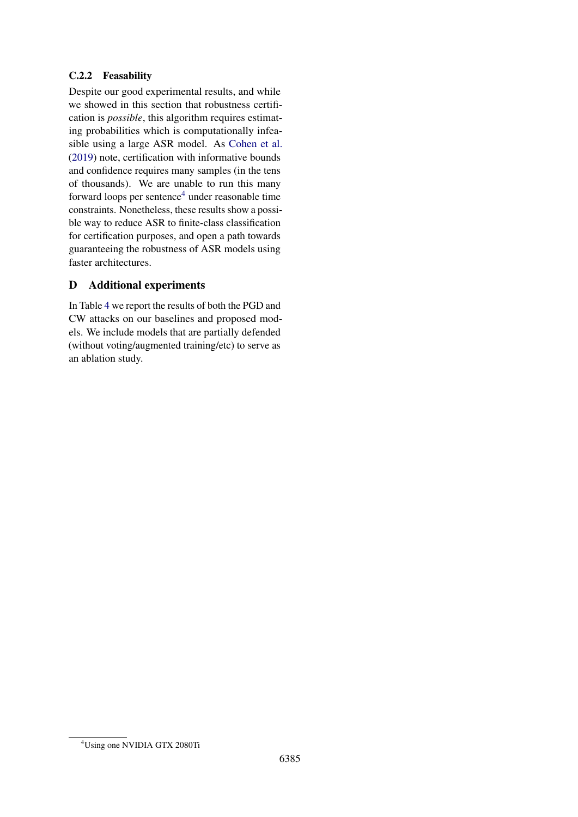# C.2.2 Feasability

Despite our good experimental results, and while we showed in this section that robustness certification is *possible*, this algorithm requires estimating probabilities which is computationally infeasible using a large ASR model. As [Cohen et al.](#page-9-1) [\(2019\)](#page-9-1) note, certification with informative bounds and confidence requires many samples (in the tens of thousands). We are unable to run this many forward loops per sentence<sup>[4](#page-13-0)</sup> under reasonable time constraints. Nonetheless, these results show a possible way to reduce ASR to finite-class classification for certification purposes, and open a path towards guaranteeing the robustness of ASR models using faster architectures.

# D Additional experiments

In Table [4](#page-14-0) we report the results of both the PGD and CW attacks on our baselines and proposed models. We include models that are partially defended (without voting/augmented training/etc) to serve as an ablation study.

<span id="page-13-0"></span><sup>4</sup>Using one NVIDIA GTX 2080Ti